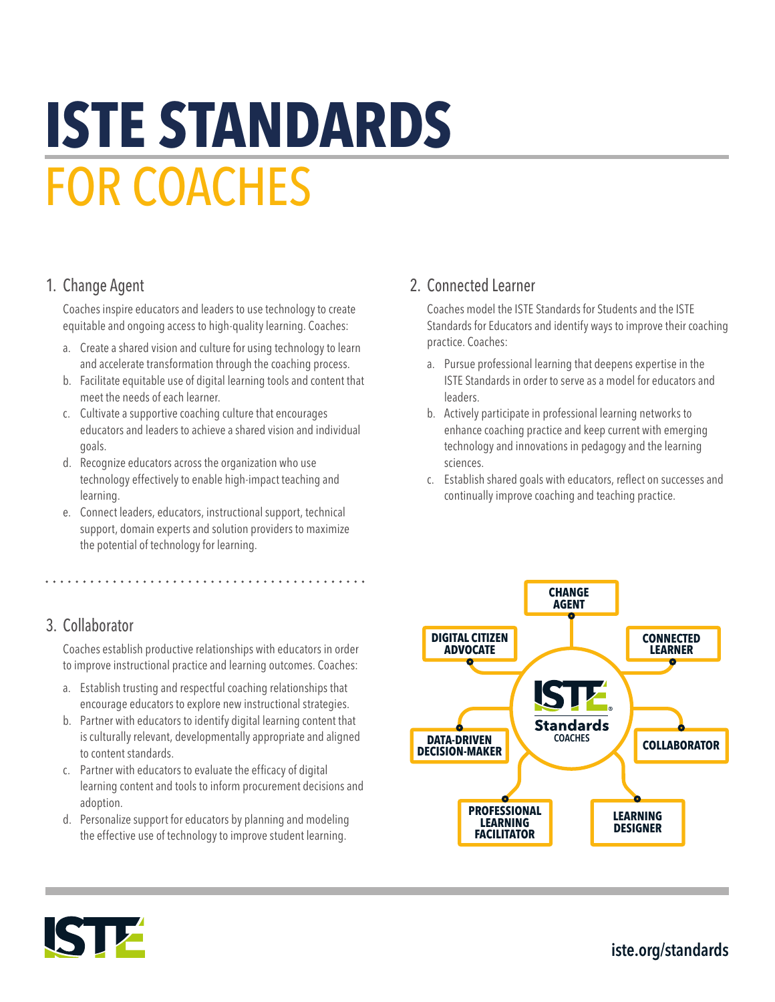# **ISTE STANDARDS**  FOR COACHES

## 1. Change Agent

Coaches inspire educators and leaders to use technology to create equitable and ongoing access to high-quality learning. Coaches:

- a. Create a shared vision and culture for using technology to learn and accelerate transformation through the coaching process.
- b. Facilitate equitable use of digital learning tools and content that meet the needs of each learner.
- c. Cultivate a supportive coaching culture that encourages educators and leaders to achieve a shared vision and individual goals.
- d. Recognize educators across the organization who use technology effectively to enable high-impact teaching and learning.
- e. Connect leaders, educators, instructional support, technical support, domain experts and solution providers to maximize the potential of technology for learning.

# 3. Collaborator

Coaches establish productive relationships with educators in order to improve instructional practice and learning outcomes. Coaches:

- a. Establish trusting and respectful coaching relationships that encourage educators to explore new instructional strategies.
- b. Partner with educators to identify digital learning content that is culturally relevant, developmentally appropriate and aligned to content standards.
- c. Partner with educators to evaluate the efficacy of digital learning content and tools to inform procurement decisions and adoption.
- d. Personalize support for educators by planning and modeling the effective use of technology to improve student learning.

## 2. Connected Learner

Coaches model the ISTE Standards for Students and the ISTE Standards for Educators and identify ways to improve their coaching practice. Coaches:

- a. Pursue professional learning that deepens expertise in the ISTE Standards in order to serve as a model for educators and leaders.
- b. Actively participate in professional learning networks to enhance coaching practice and keep current with emerging technology and innovations in pedagogy and the learning sciences.
- c. Establish shared goals with educators, reflect on successes and continually improve coaching and teaching practice.